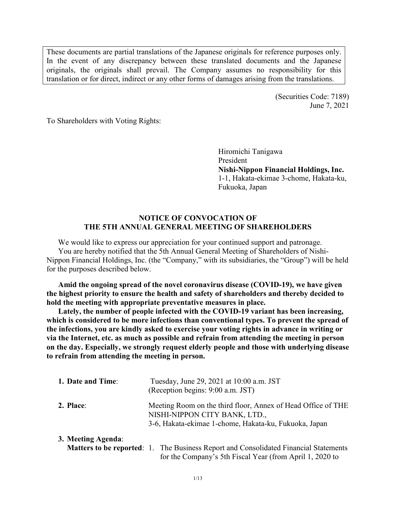These documents are partial translations of the Japanese originals for reference purposes only. In the event of any discrepancy between these translated documents and the Japanese originals, the originals shall prevail. The Company assumes no responsibility for this translation or for direct, indirect or any other forms of damages arising from the translations.

> (Securities Code: 7189) June 7, 2021

To Shareholders with Voting Rights:

Hiromichi Tanigawa President **Nishi-Nippon Financial Holdings, Inc.** 1-1, Hakata-ekimae 3-chome, Hakata-ku, Fukuoka, Japan

# **NOTICE OF CONVOCATION OF THE 5TH ANNUAL GENERAL MEETING OF SHAREHOLDERS**

We would like to express our appreciation for your continued support and patronage. You are hereby notified that the 5th Annual General Meeting of Shareholders of Nishi-Nippon Financial Holdings, Inc. (the "Company," with its subsidiaries, the "Group") will be held for the purposes described below.

**Amid the ongoing spread of the novel coronavirus disease (COVID-19), we have given the highest priority to ensure the health and safety of shareholders and thereby decided to hold the meeting with appropriate preventative measures in place.**

**Lately, the number of people infected with the COVID-19 variant has been increasing, which is considered to be more infections than conventional types. To prevent the spread of the infections, you are kindly asked to exercise your voting rights in advance in writing or via the Internet, etc. as much as possible and refrain from attending the meeting in person on the day. Especially, we strongly request elderly people and those with underlying disease to refrain from attending the meeting in person.**

| 1. Date and Time:  | Tuesday, June 29, 2021 at 10:00 a.m. JST<br>(Reception begins: 9:00 a.m. JST)                                                                           |  |  |
|--------------------|---------------------------------------------------------------------------------------------------------------------------------------------------------|--|--|
| 2. Place:          | Meeting Room on the third floor, Annex of Head Office of THE<br>NISHI-NIPPON CITY BANK, LTD.,<br>3-6, Hakata-ekimae 1-chome, Hakata-ku, Fukuoka, Japan  |  |  |
| 3. Meeting Agenda: | <b>Matters to be reported:</b> 1. The Business Report and Consolidated Financial Statements<br>for the Company's 5th Fiscal Year (from April 1, 2020 to |  |  |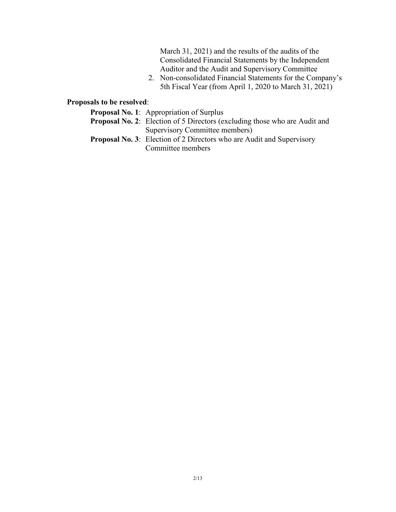March 31, 2021) and the results of the audits of the Consolidated Financial Statements by the Independent Auditor and the Audit and Supervisory Committee

2. Non-consolidated Financial Statements for the Company's 5th Fiscal Year (from April 1, 2020 to March 31, 2021)

# **Proposals to be resolved**:

- **Proposal No. 1**: Appropriation of Surplus
- **Proposal No. 2**: Election of 5 Directors (excluding those who are Audit and Supervisory Committee members)
- **Proposal No. 3**: Election of 2 Directors who are Audit and Supervisory Committee members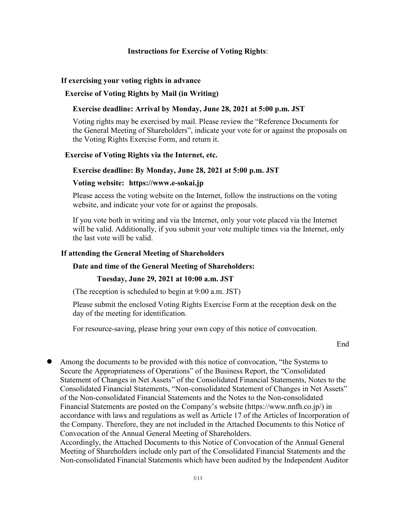# **Instructions for Exercise of Voting Rights**:

## **If exercising your voting rights in advance**

## **Exercise of Voting Rights by Mail (in Writing)**

### **Exercise deadline: Arrival by Monday, June 28, 2021 at 5:00 p.m. JST**

Voting rights may be exercised by mail. Please review the "Reference Documents for the General Meeting of Shareholders", indicate your vote for or against the proposals on the Voting Rights Exercise Form, and return it.

#### **Exercise of Voting Rights via the Internet, etc.**

#### **Exercise deadline: By Monday, June 28, 2021 at 5:00 p.m. JST**

#### **Voting website: https://www.e-sokai.jp**

Please access the voting website on the Internet, follow the instructions on the voting website, and indicate your vote for or against the proposals.

If you vote both in writing and via the Internet, only your vote placed via the Internet will be valid. Additionally, if you submit your vote multiple times via the Internet, only the last vote will be valid.

### **If attending the General Meeting of Shareholders**

## **Date and time of the General Meeting of Shareholders:**

#### **Tuesday, June 29, 2021 at 10:00 a.m. JST**

(The reception is scheduled to begin at 9:00 a.m. JST)

Please submit the enclosed Voting Rights Exercise Form at the reception desk on the day of the meeting for identification.

For resource-saving, please bring your own copy of this notice of convocation.

End

 Among the documents to be provided with this notice of convocation, "the Systems to Secure the Appropriateness of Operations" of the Business Report, the "Consolidated Statement of Changes in Net Assets" of the Consolidated Financial Statements, Notes to the Consolidated Financial Statements, "Non-consolidated Statement of Changes in Net Assets" of the Non-consolidated Financial Statements and the Notes to the Non-consolidated Financial Statements are posted on the Company's website (https://www.nnfh.co.jp/) in accordance with laws and regulations as well as Article 17 of the Articles of Incorporation of the Company. Therefore, they are not included in the Attached Documents to this Notice of Convocation of the Annual General Meeting of Shareholders. Accordingly, the Attached Documents to this Notice of Convocation of the Annual General

Meeting of Shareholders include only part of the Consolidated Financial Statements and the Non-consolidated Financial Statements which have been audited by the Independent Auditor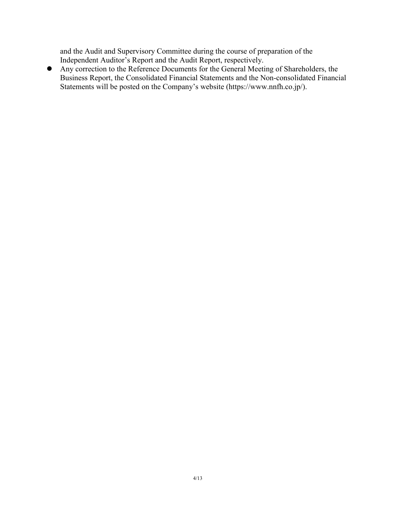and the Audit and Supervisory Committee during the course of preparation of the Independent Auditor's Report and the Audit Report, respectively.

 Any correction to the Reference Documents for the General Meeting of Shareholders, the Business Report, the Consolidated Financial Statements and the Non-consolidated Financial Statements will be posted on the Company's website (https://www.nnfh.co.jp/).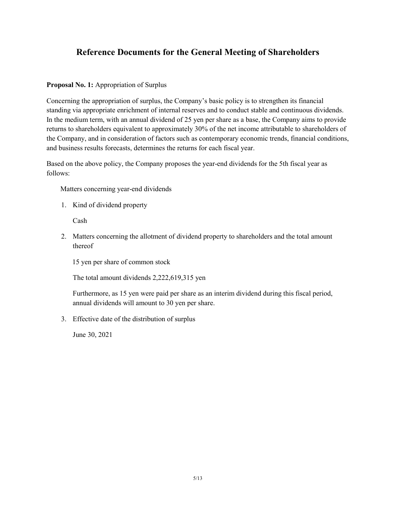# **Reference Documents for the General Meeting of Shareholders**

## **Proposal No. 1:** Appropriation of Surplus

Concerning the appropriation of surplus, the Company's basic policy is to strengthen its financial standing via appropriate enrichment of internal reserves and to conduct stable and continuous dividends. In the medium term, with an annual dividend of 25 yen per share as a base, the Company aims to provide returns to shareholders equivalent to approximately 30% of the net income attributable to shareholders of the Company, and in consideration of factors such as contemporary economic trends, financial conditions, and business results forecasts, determines the returns for each fiscal year.

Based on the above policy, the Company proposes the year-end dividends for the 5th fiscal year as follows:

Matters concerning year-end dividends

1. Kind of dividend property

Cash

2. Matters concerning the allotment of dividend property to shareholders and the total amount thereof

15 yen per share of common stock

The total amount dividends 2,222,619,315 yen

Furthermore, as 15 yen were paid per share as an interim dividend during this fiscal period, annual dividends will amount to 30 yen per share.

3. Effective date of the distribution of surplus

June 30, 2021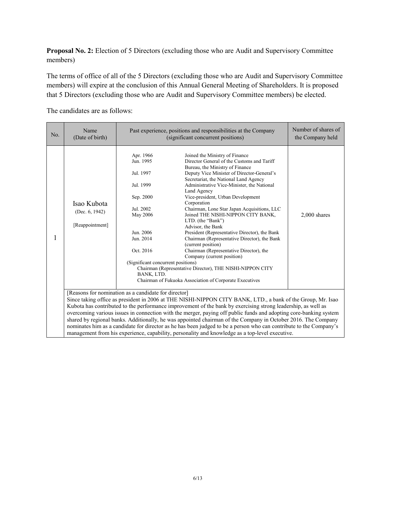**Proposal No. 2:** Election of 5 Directors (excluding those who are Audit and Supervisory Committee members)

The terms of office of all of the 5 Directors (excluding those who are Audit and Supervisory Committee members) will expire at the conclusion of this Annual General Meeting of Shareholders. It is proposed that 5 Directors (excluding those who are Audit and Supervisory Committee members) be elected.

The candidates are as follows:

| No. | Name<br>(Date of birth)                                                                                                                                                                                                                                                                                                                                                                                                                                                                                                                                                                                                                                                                                                                             | Past experience, positions and responsibilities at the Company<br>(significant concurrent positions)                                                                              |                                                                                                                                                                                                                                                                                                                                                                                                                                                                                                                                                                                                                                                                                                                                                                                | Number of shares of<br>the Company held |
|-----|-----------------------------------------------------------------------------------------------------------------------------------------------------------------------------------------------------------------------------------------------------------------------------------------------------------------------------------------------------------------------------------------------------------------------------------------------------------------------------------------------------------------------------------------------------------------------------------------------------------------------------------------------------------------------------------------------------------------------------------------------------|-----------------------------------------------------------------------------------------------------------------------------------------------------------------------------------|--------------------------------------------------------------------------------------------------------------------------------------------------------------------------------------------------------------------------------------------------------------------------------------------------------------------------------------------------------------------------------------------------------------------------------------------------------------------------------------------------------------------------------------------------------------------------------------------------------------------------------------------------------------------------------------------------------------------------------------------------------------------------------|-----------------------------------------|
| 1   | Isao Kubota<br>(Dec. 6, 1942)<br>[Reappointment]                                                                                                                                                                                                                                                                                                                                                                                                                                                                                                                                                                                                                                                                                                    | Apr. 1966<br>Jun. 1995<br>Jul. 1997<br>Jul. 1999<br>Sep. 2000<br>Jul. 2002<br>May 2006<br>Jun. 2006<br>Jun. 2014<br>Oct. 2016<br>(Significant concurrent positions)<br>BANK, LTD. | Joined the Ministry of Finance<br>Director General of the Customs and Tariff<br>Bureau, the Ministry of Finance<br>Deputy Vice Minister of Director-General's<br>Secretariat, the National Land Agency<br>Administrative Vice-Minister, the National<br>Land Agency<br>Vice-president, Urban Development<br>Corporation<br>Chairman, Lone Star Japan Acquisitions, LLC<br>Joined THE NISHI-NIPPON CITY BANK,<br>LTD. (the "Bank")<br>Advisor, the Bank<br>President (Representative Director), the Bank<br>Chairman (Representative Director), the Bank<br>(current position)<br>Chairman (Representative Director), the<br>Company (current position)<br>Chairman (Representative Director), THE NISHI-NIPPON CITY<br>Chairman of Fukuoka Association of Corporate Executives | $2,000$ shares                          |
|     | [Reasons for nomination as a candidate for director]<br>Since taking office as president in 2006 at THE NISHI-NIPPON CITY BANK, LTD., a bank of the Group, Mr. Isao<br>Kubota has contributed to the performance improvement of the bank by exercising strong leadership, as well as<br>overcoming various issues in connection with the merger, paying off public funds and adopting core-banking system<br>shared by regional banks. Additionally, he was appointed chairman of the Company in October 2016. The Company<br>nominates him as a candidate for director as he has been judged to be a person who can contribute to the Company's<br>management from his experience, capability, personality and knowledge as a top-level executive. |                                                                                                                                                                                   |                                                                                                                                                                                                                                                                                                                                                                                                                                                                                                                                                                                                                                                                                                                                                                                |                                         |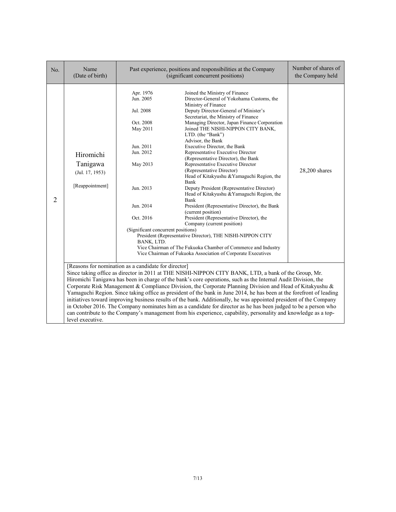| No.            | Name<br>(Date of birth)                                                                                                                                                                                                                                                                                                                                                                                                                                                                                                                                                                                                                                                                                                                                                                                                                                                                            | Past experience, positions and responsibilities at the Company<br>(significant concurrent positions)                                                                                          |                                                                                                                                                                                                                                                                                                                                                                                                                                                                                                                                                                                                                                                                                                                                                                                                                                                                                                                                                                                                             | Number of shares of<br>the Company held |
|----------------|----------------------------------------------------------------------------------------------------------------------------------------------------------------------------------------------------------------------------------------------------------------------------------------------------------------------------------------------------------------------------------------------------------------------------------------------------------------------------------------------------------------------------------------------------------------------------------------------------------------------------------------------------------------------------------------------------------------------------------------------------------------------------------------------------------------------------------------------------------------------------------------------------|-----------------------------------------------------------------------------------------------------------------------------------------------------------------------------------------------|-------------------------------------------------------------------------------------------------------------------------------------------------------------------------------------------------------------------------------------------------------------------------------------------------------------------------------------------------------------------------------------------------------------------------------------------------------------------------------------------------------------------------------------------------------------------------------------------------------------------------------------------------------------------------------------------------------------------------------------------------------------------------------------------------------------------------------------------------------------------------------------------------------------------------------------------------------------------------------------------------------------|-----------------------------------------|
| $\overline{2}$ | Hiromichi<br>Tanigawa<br>(Jul. 17, 1953)<br>[Reappointment]                                                                                                                                                                                                                                                                                                                                                                                                                                                                                                                                                                                                                                                                                                                                                                                                                                        | Apr. 1976<br>Jun. 2005<br>Jul. 2008<br>Oct. 2008<br>May 2011<br>Jun. 2011<br>Jun. 2012<br>May 2013<br>Jun. 2013<br>Jun. 2014<br>Oct. 2016<br>(Significant concurrent positions)<br>BANK, LTD. | Joined the Ministry of Finance<br>Director-General of Yokohama Customs, the<br>Ministry of Finance<br>Deputy Director-General of Minister's<br>Secretariat, the Ministry of Finance<br>Managing Director, Japan Finance Corporation<br>Joined THE NISHI-NIPPON CITY BANK,<br>LTD. (the "Bank")<br>Advisor, the Bank<br>Executive Director, the Bank<br>Representative Executive Director<br>(Representative Director), the Bank<br>Representative Executive Director<br>(Representative Director)<br>Head of Kitakyushu & Yamaguchi Region, the<br>Bank<br>Deputy President (Representative Director)<br>Head of Kitakyushu & Yamaguchi Region, the<br>Bank<br>President (Representative Director), the Bank<br>(current position)<br>President (Representative Director), the<br>Company (current position)<br>President (Representative Director), THE NISHI-NIPPON CITY<br>Vice Chairman of The Fukuoka Chamber of Commerce and Industry<br>Vice Chairman of Fukuoka Association of Corporate Executives | 28,200 shares                           |
|                | [Reasons for nomination as a candidate for director]<br>Since taking office as director in 2011 at THE NISHI-NIPPON CITY BANK, LTD, a bank of the Group, Mr.<br>Hiromichi Tanigawa has been in charge of the bank's core operations, such as the Internal Audit Division, the<br>Corporate Risk Management & Compliance Division, the Corporate Planning Division and Head of Kitakyushu &<br>Yamaguchi Region. Since taking office as president of the bank in June 2014, he has been at the forefront of leading<br>initiatives toward improving business results of the bank. Additionally, he was appointed president of the Company<br>in October 2016. The Company nominates him as a candidate for director as he has been judged to be a person who<br>can contribute to the Company's management from his experience, capability, personality and knowledge as a top-<br>level executive. |                                                                                                                                                                                               |                                                                                                                                                                                                                                                                                                                                                                                                                                                                                                                                                                                                                                                                                                                                                                                                                                                                                                                                                                                                             |                                         |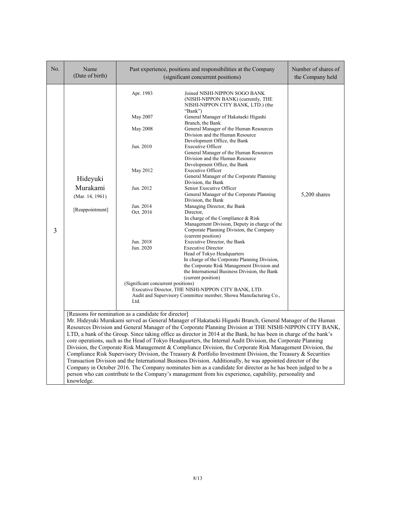| No. | Name<br>(Date of birth)                                                                                                                                                                                                                                                                                                                                                                                                                                                                                                                                                                                                                                                                                                                                                                                                                                                                                                               | Past experience, positions and responsibilities at the Company<br>(significant concurrent positions)                                                                             | Number of shares of<br>the Company held                                                                                                                                                                                                                                                                                                                                                                                                                                                                                                                                                                                                                                                                                                                                                                                                                                                                                                                                                                                                                                                                                                                                                                                                |              |  |
|-----|---------------------------------------------------------------------------------------------------------------------------------------------------------------------------------------------------------------------------------------------------------------------------------------------------------------------------------------------------------------------------------------------------------------------------------------------------------------------------------------------------------------------------------------------------------------------------------------------------------------------------------------------------------------------------------------------------------------------------------------------------------------------------------------------------------------------------------------------------------------------------------------------------------------------------------------|----------------------------------------------------------------------------------------------------------------------------------------------------------------------------------|----------------------------------------------------------------------------------------------------------------------------------------------------------------------------------------------------------------------------------------------------------------------------------------------------------------------------------------------------------------------------------------------------------------------------------------------------------------------------------------------------------------------------------------------------------------------------------------------------------------------------------------------------------------------------------------------------------------------------------------------------------------------------------------------------------------------------------------------------------------------------------------------------------------------------------------------------------------------------------------------------------------------------------------------------------------------------------------------------------------------------------------------------------------------------------------------------------------------------------------|--------------|--|
| 3   | Hideyuki<br>Murakami<br>(Mar. 14, 1961)<br>[Reappointment]                                                                                                                                                                                                                                                                                                                                                                                                                                                                                                                                                                                                                                                                                                                                                                                                                                                                            | Apr. 1983<br>May 2007<br><b>May 2008</b><br>Jun. 2010<br>May 2012<br>Jun. 2012<br>Jun. 2014<br>Oct. 2016<br>Jun. 2018<br>Jun. 2020<br>(Significant concurrent positions)<br>Ltd. | Joined NISHI-NIPPON SOGO BANK<br>(NISHI-NIPPON BANK) (currently, THE<br>NISHI-NIPPON CITY BANK, LTD.) (the<br>"Bank")<br>General Manager of Hakataeki Higashi<br>Branch, the Bank<br>General Manager of the Human Resources<br>Division and the Human Resource<br>Development Office, the Bank<br><b>Executive Officer</b><br>General Manager of the Human Resources<br>Division and the Human Resource<br>Development Office, the Bank<br><b>Executive Officer</b><br>General Manager of the Corporate Planning<br>Division, the Bank<br>Senior Executive Officer<br>General Manager of the Corporate Planning<br>Division, the Bank<br>Managing Director, the Bank<br>Director,<br>In charge of the Compliance & Risk<br>Management Division, Deputy in charge of the<br>Corporate Planning Division, the Company<br>(current position)<br>Executive Director, the Bank<br><b>Executive Director</b><br>Head of Tokyo Headquarters<br>In charge of the Corporate Planning Division,<br>the Corporate Risk Management Division and<br>the International Business Division, the Bank<br>(current position)<br>Executive Director, THE NISHI-NIPPON CITY BANK, LTD.<br>Audit and Supervisory Committee member, Showa Manufacturing Co., | 5,200 shares |  |
|     | [Reasons for nomination as a candidate for director]<br>Mr. Hideyuki Murakami served as General Manager of Hakataeki Higashi Branch, General Manager of the Human                                                                                                                                                                                                                                                                                                                                                                                                                                                                                                                                                                                                                                                                                                                                                                     |                                                                                                                                                                                  |                                                                                                                                                                                                                                                                                                                                                                                                                                                                                                                                                                                                                                                                                                                                                                                                                                                                                                                                                                                                                                                                                                                                                                                                                                        |              |  |
|     | Resources Division and General Manager of the Corporate Planning Division at THE NISHI-NIPPON CITY BANK,<br>LTD, a bank of the Group. Since taking office as director in 2014 at the Bank, he has been in charge of the bank's<br>core operations, such as the Head of Tokyo Headquarters, the Internal Audit Division, the Corporate Planning<br>Division, the Corporate Risk Management & Compliance Division, the Corporate Risk Management Division, the<br>Compliance Risk Supervisory Division, the Treasury & Portfolio Investment Division, the Treasury & Securities<br>Transaction Division and the International Business Division. Additionally, he was appointed director of the<br>Company in October 2016. The Company nominates him as a candidate for director as he has been judged to be a<br>person who can contribute to the Company's management from his experience, capability, personality and<br>knowledge. |                                                                                                                                                                                  |                                                                                                                                                                                                                                                                                                                                                                                                                                                                                                                                                                                                                                                                                                                                                                                                                                                                                                                                                                                                                                                                                                                                                                                                                                        |              |  |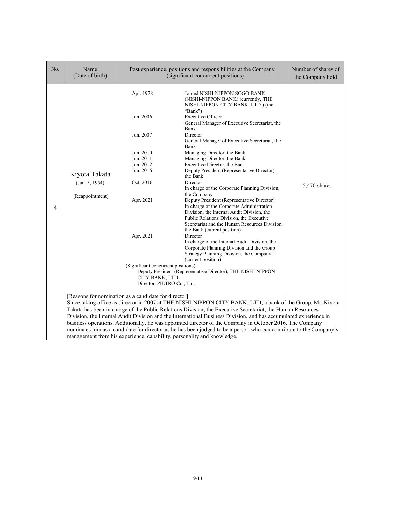| No.                                                                                                                                                                                                                                                                                                                                                                                                                          | Name<br>(Date of birth)                            |                                                                                                                                                                                                                       | Past experience, positions and responsibilities at the Company<br>(significant concurrent positions)                                                                                                                                                                                                                                                                                                                                                                                                                                                                                                                                                                                                                                                                                                                                                                                                                                                                                                                                 | Number of shares of<br>the Company held |
|------------------------------------------------------------------------------------------------------------------------------------------------------------------------------------------------------------------------------------------------------------------------------------------------------------------------------------------------------------------------------------------------------------------------------|----------------------------------------------------|-----------------------------------------------------------------------------------------------------------------------------------------------------------------------------------------------------------------------|--------------------------------------------------------------------------------------------------------------------------------------------------------------------------------------------------------------------------------------------------------------------------------------------------------------------------------------------------------------------------------------------------------------------------------------------------------------------------------------------------------------------------------------------------------------------------------------------------------------------------------------------------------------------------------------------------------------------------------------------------------------------------------------------------------------------------------------------------------------------------------------------------------------------------------------------------------------------------------------------------------------------------------------|-----------------------------------------|
| 4                                                                                                                                                                                                                                                                                                                                                                                                                            | Kiyota Takata<br>(Jan. 5, 1954)<br>[Reappointment] | Apr. 1978<br>Jun. 2006<br>Jun. 2007<br>Jun. 2010<br>Jun. 2011<br>Jun. 2012<br>Jun. 2016<br>Oct. 2016<br>Apr. 2021<br>Apr. 2021<br>(Significant concurrent positions)<br>CITY BANK, LTD.<br>Director, PIETRO Co., Ltd. | Joined NISHI-NIPPON SOGO BANK<br>(NISHI-NIPPON BANK) (currently, THE<br>NISHI-NIPPON CITY BANK, LTD.) (the<br>"Bank")<br><b>Executive Officer</b><br>General Manager of Executive Secretariat, the<br>Bank<br>Director<br>General Manager of Executive Secretariat, the<br>Bank<br>Managing Director, the Bank<br>Managing Director, the Bank<br>Executive Director, the Bank<br>Deputy President (Representative Director),<br>the Bank<br>Director<br>In charge of the Corporate Planning Division,<br>the Company<br>Deputy President (Representative Director)<br>In charge of the Corporate Administration<br>Division, the Internal Audit Division, the<br>Public Relations Division, the Executive<br>Secretariat and the Human Resources Division,<br>the Bank (current position)<br>Director<br>In charge of the Internal Audit Division, the<br>Corporate Planning Division and the Group<br>Strategy Planning Division, the Company<br>(current position)<br>Deputy President (Representative Director), THE NISHI-NIPPON | 15,470 shares                           |
| [Reasons for nomination as a candidate for director]<br>Since taking office as director in 2007 at THE NISHI-NIPPON CITY BANK, LTD, a bank of the Group, Mr. Kiyota<br>Takata has been in charge of the Public Relations Division, the Executive Secretariat, the Human Resources                                                                                                                                            |                                                    |                                                                                                                                                                                                                       |                                                                                                                                                                                                                                                                                                                                                                                                                                                                                                                                                                                                                                                                                                                                                                                                                                                                                                                                                                                                                                      |                                         |
| Division, the Internal Audit Division and the International Business Division, and has accumulated experience in<br>business operations. Additionally, he was appointed director of the Company in October 2016. The Company<br>nominates him as a candidate for director as he has been judged to be a person who can contribute to the Company's<br>management from his experience, capability, personality and knowledge. |                                                    |                                                                                                                                                                                                                       |                                                                                                                                                                                                                                                                                                                                                                                                                                                                                                                                                                                                                                                                                                                                                                                                                                                                                                                                                                                                                                      |                                         |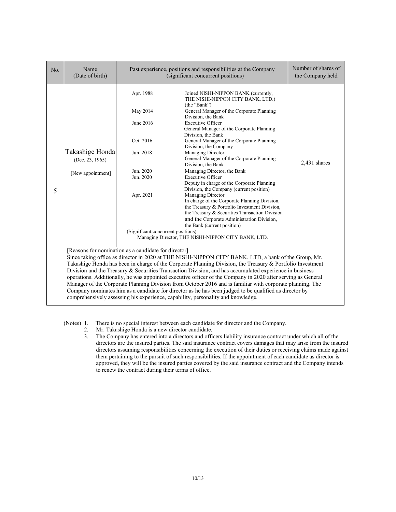| No. | Name<br>(Date of birth)                                                                                                                                                                                                                                                                                                                                                                                                                                                                                                                                                                                                                                                                                                                                                                                          | Past experience, positions and responsibilities at the Company<br>(significant concurrent positions)                                      |                                                                                                                                                                                                                                                                                                                                                                                                                                                                                                                                                                                                                                                                                                                                                                                                                                                                                             | Number of shares of<br>the Company held |  |
|-----|------------------------------------------------------------------------------------------------------------------------------------------------------------------------------------------------------------------------------------------------------------------------------------------------------------------------------------------------------------------------------------------------------------------------------------------------------------------------------------------------------------------------------------------------------------------------------------------------------------------------------------------------------------------------------------------------------------------------------------------------------------------------------------------------------------------|-------------------------------------------------------------------------------------------------------------------------------------------|---------------------------------------------------------------------------------------------------------------------------------------------------------------------------------------------------------------------------------------------------------------------------------------------------------------------------------------------------------------------------------------------------------------------------------------------------------------------------------------------------------------------------------------------------------------------------------------------------------------------------------------------------------------------------------------------------------------------------------------------------------------------------------------------------------------------------------------------------------------------------------------------|-----------------------------------------|--|
| 5   | Takashige Honda<br>(Dec. 23, 1965)<br>[New appointment]                                                                                                                                                                                                                                                                                                                                                                                                                                                                                                                                                                                                                                                                                                                                                          | Apr. 1988<br>May 2014<br>June 2016<br>Oct. 2016<br>Jun. 2018<br>Jun. 2020<br>Jun. 2020<br>Apr. 2021<br>(Significant concurrent positions) | Joined NISHI-NIPPON BANK (currently,<br>THE NISHI-NIPPON CITY BANK, LTD.)<br>(the "Bank")<br>General Manager of the Corporate Planning<br>Division, the Bank<br><b>Executive Officer</b><br>General Manager of the Corporate Planning<br>Division, the Bank<br>General Manager of the Corporate Planning<br>Division, the Company<br>Managing Director<br>General Manager of the Corporate Planning<br>Division, the Bank<br>Managing Director, the Bank<br><b>Executive Officer</b><br>Deputy in charge of the Corporate Planning<br>Division, the Company (current position)<br>Managing Director<br>In charge of the Corporate Planning Division,<br>the Treasury & Portfolio Investment Division,<br>the Treasury & Securities Transaction Division<br>and the Corporate Administration Division,<br>the Bank (current position)<br>Managing Director, THE NISHI-NIPPON CITY BANK, LTD. | 2,431 shares                            |  |
|     | [Reasons for nomination as a candidate for director]<br>Since taking office as director in 2020 at THE NISHI-NIPPON CITY BANK, LTD, a bank of the Group, Mr.<br>Takashige Honda has been in charge of the Corporate Planning Division, the Treasury & Portfolio Investment<br>Division and the Treasury & Securities Transaction Division, and has accumulated experience in business<br>operations. Additionally, he was appointed executive officer of the Company in 2020 after serving as General<br>Manager of the Corporate Planning Division from October 2016 and is familiar with corporate planning. The<br>Company nominates him as a candidate for director as he has been judged to be qualified as director by<br>comprehensively assessing his experience, capability, personality and knowledge. |                                                                                                                                           |                                                                                                                                                                                                                                                                                                                                                                                                                                                                                                                                                                                                                                                                                                                                                                                                                                                                                             |                                         |  |

(Notes) 1. There is no special interest between each candidate for director and the Company.<br>2. Mr. Takashige Honda is a new director candidate.

- Mr. Takashige Honda is a new director candidate.
- 3. The Company has entered into a directors and officers liability insurance contract under which all of the directors are the insured parties. The said insurance contract covers damages that may arise from the insured directors assuming responsibilities concerning the execution of their duties or receiving claims made against them pertaining to the pursuit of such responsibilities. If the appointment of each candidate as director is approved, they will be the insured parties covered by the said insurance contract and the Company intends to renew the contract during their terms of office.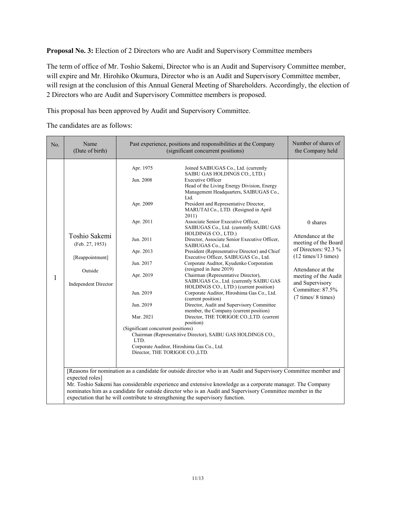**Proposal No. 3:** Election of 2 Directors who are Audit and Supervisory Committee members

The term of office of Mr. Toshio Sakemi, Director who is an Audit and Supervisory Committee member, will expire and Mr. Hirohiko Okumura, Director who is an Audit and Supervisory Committee member, will resign at the conclusion of this Annual General Meeting of Shareholders. Accordingly, the election of 2 Directors who are Audit and Supervisory Committee members is proposed.

This proposal has been approved by Audit and Supervisory Committee.

The candidates are as follows:

| No.                                                                                                                                                                                                                                                                                                      | Name<br>(Date of birth)                                                                                          | Past experience, positions and responsibilities at the Company<br>(significant concurrent positions)                                                                                                                         |                                                                                                                                                                                                                                                                                                                                                                                                                                                                                                                                                                                                                                                                                                                                                                                                                                                                                                                                                                                                                                                                                                                                                                                                                               | Number of shares of<br>the Company held                                                                                                                                                                                              |
|----------------------------------------------------------------------------------------------------------------------------------------------------------------------------------------------------------------------------------------------------------------------------------------------------------|------------------------------------------------------------------------------------------------------------------|------------------------------------------------------------------------------------------------------------------------------------------------------------------------------------------------------------------------------|-------------------------------------------------------------------------------------------------------------------------------------------------------------------------------------------------------------------------------------------------------------------------------------------------------------------------------------------------------------------------------------------------------------------------------------------------------------------------------------------------------------------------------------------------------------------------------------------------------------------------------------------------------------------------------------------------------------------------------------------------------------------------------------------------------------------------------------------------------------------------------------------------------------------------------------------------------------------------------------------------------------------------------------------------------------------------------------------------------------------------------------------------------------------------------------------------------------------------------|--------------------------------------------------------------------------------------------------------------------------------------------------------------------------------------------------------------------------------------|
| 1                                                                                                                                                                                                                                                                                                        | Toshio Sakemi<br>(Feb. 27, 1953)<br>[Reappointment]<br>Outside<br><b>Independent Director</b><br>expected roles] | Apr. 1975<br>Jun. 2008<br>Apr. 2009<br>Apr. 2011<br>Jun. 2011<br>Apr. 2013<br>Jun. 2017<br>Apr. 2019<br>Jun. 2019<br>Jun. 2019<br>Mar. 2021<br>(Significant concurrent positions)<br>LTD.<br>Director, THE TORIGOE CO., LTD. | Joined SAIBUGAS Co., Ltd. (currently<br>SAIBU GAS HOLDINGS CO., LTD.)<br><b>Executive Officer</b><br>Head of the Living Energy Division, Energy<br>Management Headquarters, SAIBUGAS Co.,<br>Ltd.<br>President and Representative Director,<br>MARUTAI Co., LTD. (Resigned in April<br>2011)<br>Associate Senior Executive Officer,<br>SAIBUGAS Co., Ltd. (currently SAIBU GAS<br>HOLDINGS CO., LTD.)<br>Director, Associate Senior Executive Officer,<br>SAIBUGAS Co., Ltd.<br>President (Representative Director) and Chief<br>Executive Officer, SAIBUGAS Co., Ltd.<br>Corporate Auditor, Kyudenko Corporation<br>(resigned in June 2019)<br>Chairman (Representative Director),<br>SAIBUGAS Co., Ltd. (currently SAIBU GAS<br>HOLDINGS CO., LTD.) (current position)<br>Corporate Auditor, Hiroshima Gas Co., Ltd.<br>(current position)<br>Director, Audit and Supervisory Committee<br>member, the Company (current position)<br>Director, THE TORIGOE CO., LTD. (current<br>position)<br>Chairman (Representative Director), SAIBU GAS HOLDINGS CO.,<br>Corporate Auditor, Hiroshima Gas Co., Ltd.<br>[Reasons for nomination as a candidate for outside director who is an Audit and Supervisory Committee member and | $0$ shares<br>Attendance at the<br>meeting of the Board<br>of Directors: $92.3\%$<br>$(12 \text{ times}/13 \text{ times})$<br>Attendance at the<br>meeting of the Audit<br>and Supervisory<br>Committee: 87.5%<br>(7 times/ 8 times) |
| Mr. Toshio Sakemi has considerable experience and extensive knowledge as a corporate manager. The Company<br>nominates him as a candidate for outside director who is an Audit and Supervisory Committee member in the<br>expectation that he will contribute to strengthening the supervisory function. |                                                                                                                  |                                                                                                                                                                                                                              |                                                                                                                                                                                                                                                                                                                                                                                                                                                                                                                                                                                                                                                                                                                                                                                                                                                                                                                                                                                                                                                                                                                                                                                                                               |                                                                                                                                                                                                                                      |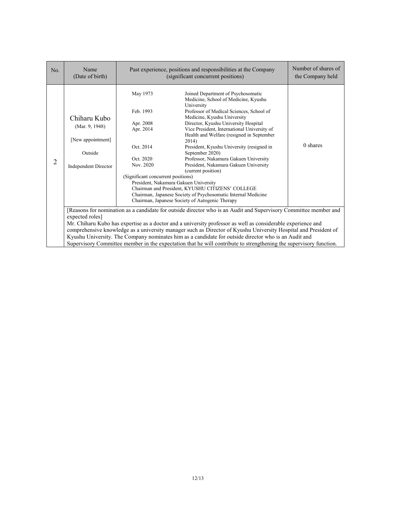| No.            | Name<br>(Date of birth)                                                                                                                                                                                                                                                                                                                                                                                                                                                                                                                                                                              | Past experience, positions and responsibilities at the Company<br>(significant concurrent positions)                         |                                                                                                                                                                                                                                                                                                                                                                                                                                                                                                                                                                                                                                                                                                           | Number of shares of<br>the Company held |
|----------------|------------------------------------------------------------------------------------------------------------------------------------------------------------------------------------------------------------------------------------------------------------------------------------------------------------------------------------------------------------------------------------------------------------------------------------------------------------------------------------------------------------------------------------------------------------------------------------------------------|------------------------------------------------------------------------------------------------------------------------------|-----------------------------------------------------------------------------------------------------------------------------------------------------------------------------------------------------------------------------------------------------------------------------------------------------------------------------------------------------------------------------------------------------------------------------------------------------------------------------------------------------------------------------------------------------------------------------------------------------------------------------------------------------------------------------------------------------------|-----------------------------------------|
| $\overline{2}$ | Chiharu Kubo<br>(Mar. 9, 1948)<br>[New appointment]<br>Outside<br><b>Independent Director</b>                                                                                                                                                                                                                                                                                                                                                                                                                                                                                                        | May 1973<br>Feb. 1993<br>Apr. 2008<br>Apr. 2014<br>Oct. 2014<br>Oct. 2020<br>Nov. 2020<br>(Significant concurrent positions) | Joined Department of Psychosomatic<br>Medicine, School of Medicine, Kyushu<br>University<br>Professor of Medical Sciences, School of<br>Medicine, Kyushu University<br>Director, Kyushu University Hospital<br>Vice President, International University of<br>Health and Welfare (resigned in September<br>2014)<br>President, Kyushu University (resigned in<br>September 2020)<br>Professor, Nakamura Gakuen University<br>President, Nakamura Gakuen University<br>(current position)<br>President, Nakamura Gakuen University<br>Chairman and President, KYUSHU CITIZENS' COLLEGE<br>Chairman, Japanese Society of Psychosomatic Internal Medicine<br>Chairman, Japanese Society of Autogenic Therapy | 0 shares                                |
|                | [Reasons for nomination as a candidate for outside director who is an Audit and Supervisory Committee member and<br>expected roles]<br>Mr. Chiharu Kubo has expertise as a doctor and a university professor as well as considerable experience and<br>comprehensive knowledge as a university manager such as Director of Kyushu University Hospital and President of<br>Kyushu University. The Company nominates him as a candidate for outside director who is an Audit and<br>Supervisory Committee member in the expectation that he will contribute to strengthening the supervisory function. |                                                                                                                              |                                                                                                                                                                                                                                                                                                                                                                                                                                                                                                                                                                                                                                                                                                           |                                         |